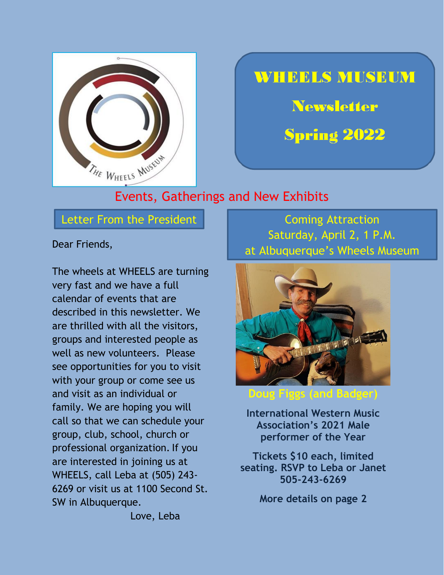

## **WHEELS MUSEUM**

**Newsletter** 

**Spring 2022** 

#### Events, Gatherings and New Exhibits

Letter From the President **Coming Attraction** 

Dear Friends,

The wheels at WHEELS are turning very fast and we have a full calendar of events that are described in this newsletter. We are thrilled with all the visitors, groups and interested people as well as new volunteers. Please see opportunities for you to visit with your group or come see us and visit as an individual or family. We are hoping you will call so that we can schedule your group, club, school, church or professional organization. If you are interested in joining us at WHEELS, call Leba at (505) 243- 6269 or visit us at 1100 Second St. SW in Albuquerque.

Saturday, April 2, 1 P.M. at Albuquerque's Wheels Museum



**Doug Figgs (and Badger)**

**International Western Music Association's 2021 Male performer of the Year**

**Tickets \$10 each, limited seating. RSVP to Leba or Janet 505-243-6269**

**More details on page 2**

Love, Leba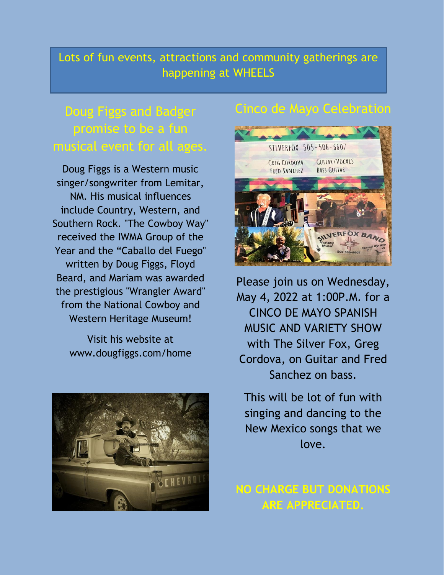## Lots of fun events, attractions and community gatherings are happening at WHEELS

## Doug Figgs and Badger promise to be a fun musical event for all ages.

Doug Figgs is a Western music singer/songwriter from Lemitar, NM. His musical influences include Country, Western, and Southern Rock. "The Cowboy Way" received the IWMA Group of the Year and the "Caballo del Fuego" written by Doug Figgs, Floyd Beard, and Mariam was awarded the prestigious "Wrangler Award" from the National Cowboy and Western Heritage Museum!

> Visit his website at www.dougfiggs.com/home



## Cinco de Mayo Celebration



Please join us on Wednesday, May 4, 2022 at 1:00P.M. for a CINCO DE MAYO SPANISH MUSIC AND VARIETY SHOW with The Silver Fox, Greg Cordova, on Guitar and Fred Sanchez on bass.

This will be lot of fun with singing and dancing to the New Mexico songs that we love.

### **NO CHARGE BUT DONATIONS ARE APPRECIATED.**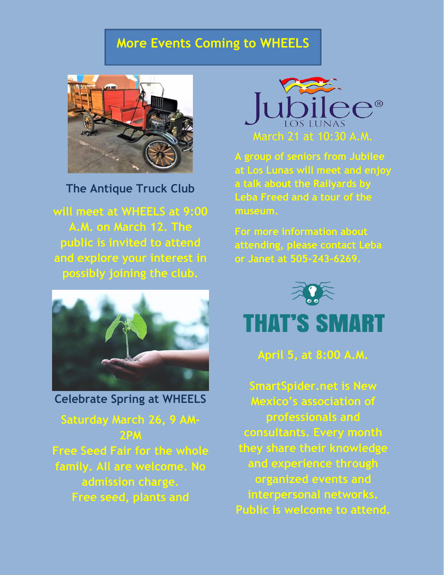## **More Events Coming to WHEELS**



**The Antique Truck Club** 

**will meet at WHEELS at 9:00 A.M. on March 12. The public is invited to attend and explore your interest in possibly joining the club.**



**Celebrate Spring at WHEELS**

**Saturday March 26, 9 AM-2PM Free Seed Fair for the whole family. All are welcome. No admission charge. Free seed, plants and** 



**A group of seniors from Jubilee at Los Lunas will meet and enjoy a talk about the Railyards by Leba Freed and a tour of the museum.**

**For more information about attending, please contact Leba or Janet at 505-243-6269.**



# **THAT'S SMART**

**April 5, at 8:00 A.M.**

**SmartSpider.net is New Mexico's association of professionals and consultants. Every month they share their knowledge and experience through organized events and interpersonal networks. Public is welcome to attend.**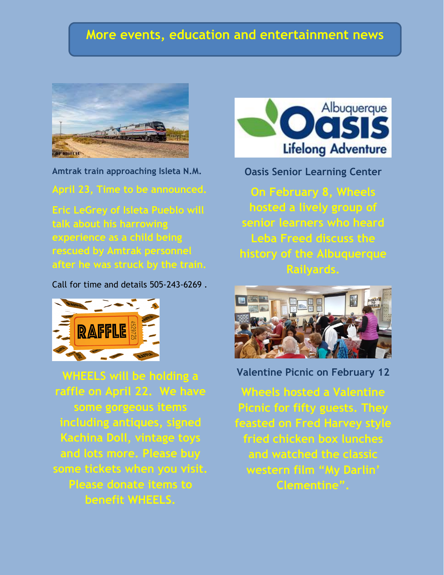#### **More events, education and entertainment news**



**Amtrak train approaching Isleta N.M.**

**April 23, Time to be announced.** 

**Eric LeGrey of Isleta Pueblo will talk about his harrowing experience as a child being rescued by Amtrak personnel after he was struck by the train.**

Call for time and details 505-243-6269 .



**WHEELS will be holding a raffle on April 22. We have some gorgeous items including antiques, signed Kachina Doll, vintage toys and lots more. Please buy some tickets when you visit. Please donate items to benefit WHEELS.**



**Oasis Senior Learning Center**

**On February 8, Wheels hosted a lively group of senior learners who heard Leba Freed discuss the history of the Albuquerque Railyards.**



**Valentine Picnic on February 12**

**Wheels hosted a Valentine Picnic for fifty guests. They feasted on Fred Harvey style fried chicken box lunches and watched the classic western film "My Darlin' Clementine".**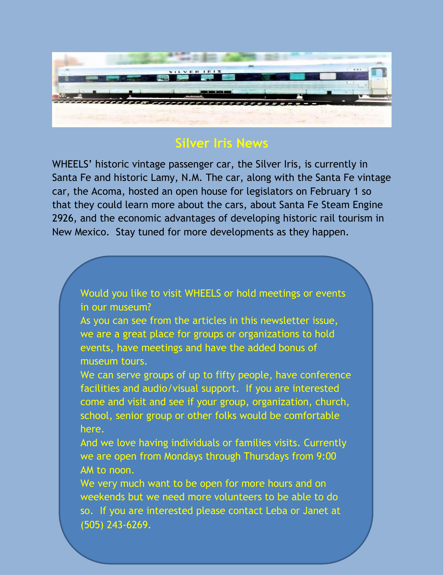

## **Silver Iris News**

WHEELS' historic vintage passenger car, the Silver Iris, is currently in Santa Fe and historic Lamy, N.M. The car, along with the Santa Fe vintage car, the Acoma, hosted an open house for legislators on February 1 so that they could learn more about the cars, about Santa Fe Steam Engine 2926, and the economic advantages of developing historic rail tourism in New Mexico. Stay tuned for more developments as they happen.

Would you like to visit WHEELS or hold meetings or events in our museum?

As you can see from the articles in this newsletter issue, we are a great place for groups or organizations to hold events, have meetings and have the added bonus of museum tours.

We can serve groups of up to fifty people, have conference facilities and audio/visual support. If you are interested come and visit and see if your group, organization, church, school, senior group or other folks would be comfortable here.

And we love having individuals or families visits. Currently we are open from Mondays through Thursdays from 9:00 AM to noon.

We very much want to be open for more hours and on weekends but we need more volunteers to be able to do so. If you are interested please contact Leba or Janet at (505) 243-6269.